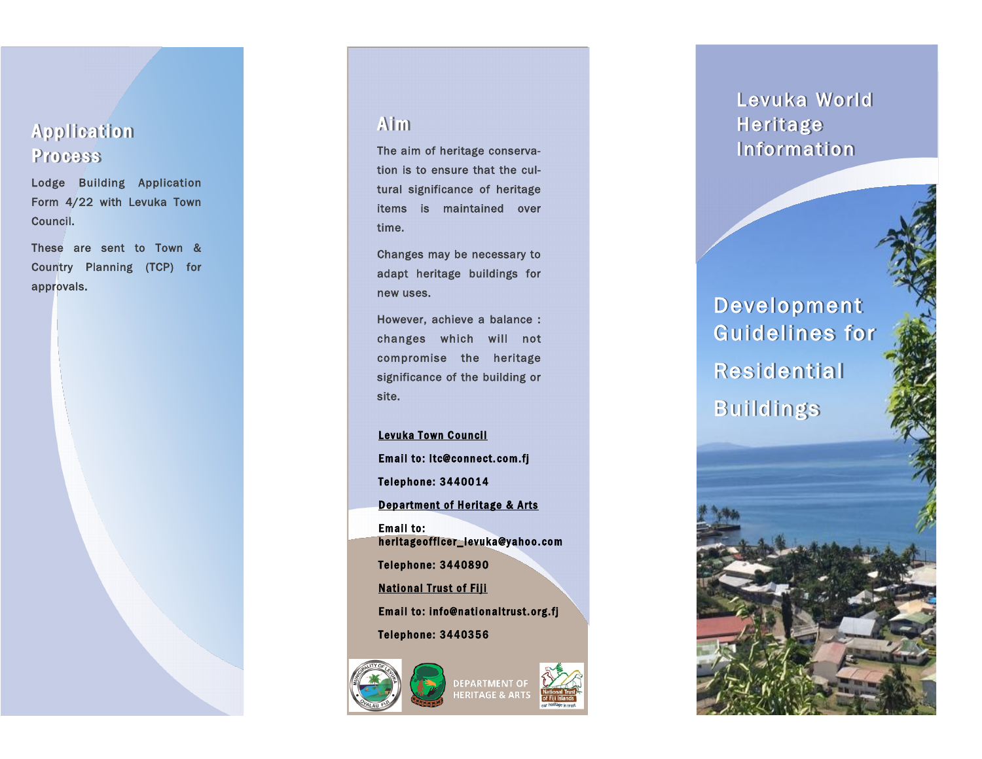### **Application** Process

Lodge Building Application Form 4/22 with Levuka Town Council.

These are sent to Town & Country Planning (TCP) for approvals.

#### **Aim**

The aim of heritage conservation is to ensure that the cultural significance of heritage items is maintained over time.

Changes may be necessary to adapt heritage buildings for new uses.

However, achieve a balance : changes which will not compromise the heritage significance of the building or site.

Levuka Town Council Email to: ltc@connect.com.fj Telephone: 3440014 Department of Heritage & Arts Email to: heritage officer\_levuka@yahoo.com Telephone: 3440890 **National Trust of Fiji** Email to: info@nationaltrust.org.fj Telephone: 3440356



# DEPARTMENT OF<br>HERITAGE & ARTS

## Levuka World Heritage Information

Development Guidelines for Residential Buildings